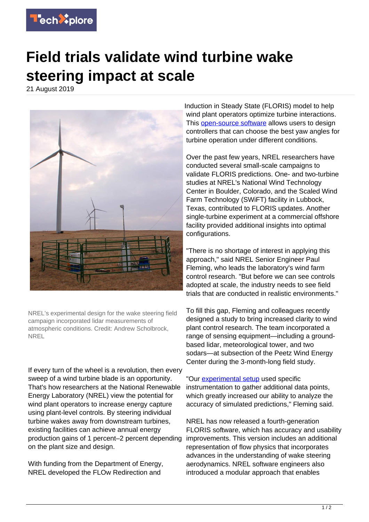

## **Field trials validate wind turbine wake steering impact at scale**

21 August 2019



NREL's experimental design for the wake steering field campaign incorporated lidar measurements of atmospheric conditions. Credit: Andrew Scholbrock, NREL

If every turn of the wheel is a revolution, then every sweep of a wind turbine blade is an opportunity. That's how researchers at the National Renewable Energy Laboratory (NREL) view the potential for wind plant operators to increase energy capture using plant-level controls. By steering individual turbine wakes away from downstream turbines, existing facilities can achieve annual energy production gains of 1 percent–2 percent depending on the plant size and design.

With funding from the Department of Energy, NREL developed the FLOw Redirection and

Induction in Steady State (FLORIS) model to help wind plant operators optimize turbine interactions. This [open-source software](https://techxplore.com/tags/open-source+software/) allows users to design controllers that can choose the best yaw angles for turbine operation under different conditions.

Over the past few years, NREL researchers have conducted several small-scale campaigns to validate FLORIS predictions. One- and two-turbine studies at NREL's National Wind Technology Center in Boulder, Colorado, and the Scaled Wind Farm Technology (SWiFT) facility in Lubbock, Texas, contributed to FLORIS updates. Another single-turbine experiment at a commercial offshore facility provided additional insights into optimal configurations.

"There is no shortage of interest in applying this approach," said NREL Senior Engineer Paul Fleming, who leads the laboratory's wind farm control research. "But before we can see controls adopted at scale, the industry needs to see field trials that are conducted in realistic environments."

To fill this gap, Fleming and colleagues recently designed a study to bring increased clarity to wind plant control research. The team incorporated a range of sensing equipment—including a groundbased lidar, meteorological tower, and two sodars—at subsection of the Peetz Wind Energy Center during the 3-month-long field study.

"Our [experimental setup](https://techxplore.com/tags/experimental+setup/) used specific instrumentation to gather additional data points, which greatly increased our ability to analyze the accuracy of simulated predictions," Fleming said.

NREL has now released a fourth-generation FLORIS software, which has accuracy and usability improvements. This version includes an additional representation of flow physics that incorporates advances in the understanding of wake steering aerodynamics. NREL software engineers also introduced a modular approach that enables